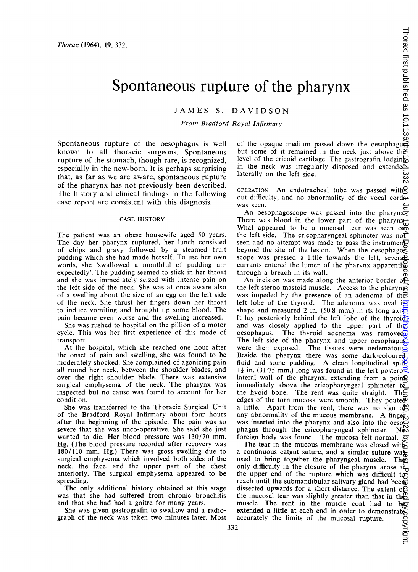# Spontaneous rupture of the pharynx

## JAMES S. DAVIDSON

From Bradford Royal Infirmary

Spontaneous rupture of the oesophagus is well known to all thoracic surgeons. Spontaneous rupture of the stomach, though rare, is recognized, especially in the new-born. It is perhaps surprising that, as far as we are aware, spontaneous rupture of the pharynx has not previously been described. The history and clinical findings in the following case report are consistent with this diagnosis.

#### CASE HISTORY

The patient was an obese housewife aged 50 years. The day her pharynx ruptured, her lunch consisted of chips and gravy followed by a steamed fruit pudding which she had made herself. To use her own words, she 'swallowed a mouthful of pudding unexpectedly'. The pudding seemed to stick in her throat and she was immediately seized with intense pain on the left side of the neck. She was at once aware also of a swelling about the size of an egg on the left side of the neck. She thrust her fingers down her throat to induce vomiting and brought up some blood. The pain became even worse and the swelling increased.

She was rushed to hospital on the pillion of a motor cycle. This was her first experience of this mode of transport.

At the hospital, which she reached one hour after the onset of pain and swelling, she was found to be moderately shocked. She complained of agonizing pain all round her neck, between the shoulder blades, and over the right shoulder blade. There was extensive surgical emphysema of the neck. The pharynx was inspected but no cause was found to account for her condition.

She was transferred to the Thoracic Surgical Unit of the Bradford Royal Infirmary about four hours after the beginning of the episode. The pain was so severe that she was unco-operative. She said she just wanted to die. Her blood pressure was 130/70 mm. Hg. (The blood pressure recorded after recovery was 180/110 mm. Hg.) There was gross swelling due to surgical emphysema which involved both sides of the neck, the face, and the upper part of the chest anteriorly. The surgical emphysema appeared to be spreading.

The only additional history obtained at this stage was that she had suffered from chronic bronchitis and that she had had a goitre for many years.

She was given gastrografin to swallow and a radiograph of the neck was taken two minutes later. Most

of the opaque medium passed down the oesophagus but some of it remained in the neck just above the level of the cricoid cartilage. The gastrografin lodging in the neck was irregularly disposed and extended laterally on the left side.

 $OPERATION$  An endotracheal tube was passed with $Q$ out difficulty, and no abnormality of the vocal cords was seen.

An oesophagoscope was passed into the pharynx $\bar{z}$ There was blood in the lower part of the pharynx. What appeared to be a mucosal tear was seen  $\overline{OB}$ the left side. The cricopharyngeal sphincter was not seen and no attempt was made to pass the instrument beyond the site of the lesion. When the oesophagoscope was pressed a little towards the left, several currants entered the lumen of the pharynx apparently through a breach in its wall.

An incision was made along the anterior border  $\Phi$ the left sterno-mastoid muscle. Access to the pharyn $\vec{g}$ was impeded by the presence of an adenoma of the left lobe of the thyroid. The adenoma was oval in shape and measured 2 in. (50.8 mm.) in its long axist It lay posteriorly behind the left lobe of the thyroid and was closely applied to the upper part of the oesophagus. The thyroid adenoma was removed. The left side of the pharynx and upper oesophagus were then exposed. The tissues were oedematous $\frac{1}{2}$ Beside the pharynx there was some dark-coloured fluid and some pudding. A clean longitudinal spli $\ddot{q}$  $1\frac{1}{4}$  in. (31.75 mm.) long was found in the left postero $\geq$ lateral wall of the pharynx, extending from a poin $Q$ immediately above the cricopharyngeal sphincter to the hyoid bone. The rent was quite straight. The edges of the torn mucosa were smooth. They pouted a little. Apart from the rent, there was no sign  $\delta$ ge any abnormality of the mucous membrane. A finger was inserted into the pharynx and also into the oeso $\overline{Q}$ <br>phagus through the cricopharyngeal sphincter. Not phagus through the cricopharyngeal sphincter. foreign body was found. The mucosa felt normal.  $\sigma$  $\alpha$  June 30, 2022 by growing  $\sigma$  and  $\sigma$  is a 10.2022 on 10.1136. Downloaded from the published from  $\sigma$  is the  $\sigma$   $\sigma$   $\gamma$   $\sigma$   $\gamma$   $\sigma$   $\gamma$   $\sigma$   $\gamma$   $\sigma$   $\gamma$   $\sigma$   $\gamma$   $\sigma$   $\gamma$   $\sigma$   $\gamma$   $\sigma$   $\gamma$   $\sigma$   $\gamma$ 

The tear in the mucous membrane was closed with a continuous catgut suture, and a similar suture was used to bring together the pharyngeal muscle. The only difficulty in the closure of the pharynx arose  $a_{\Pi}^{\dagger}$ the upper end of the rupture which was difficult to reach until the submandibular salivary gland had been dissected upwards for a short distance. The extent of the mucosal tear was slightly greater than that in the muscle. The rent in the muscle coat had to be extended a little at each end in order to demonstrate accurately the limits of the mucosal rupture.